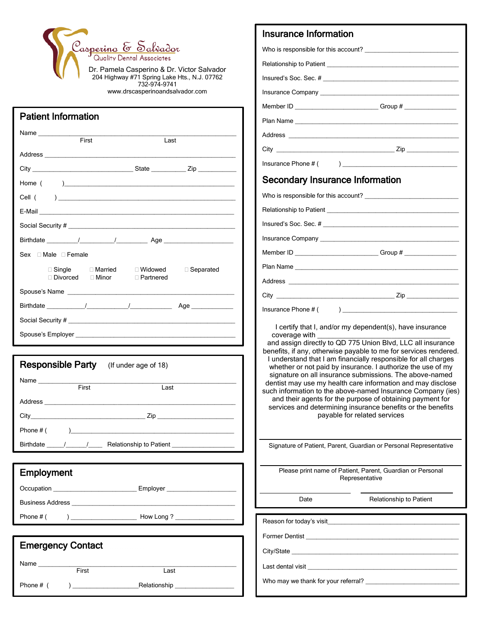

204 Highway #71 Spring Lake Hts., N.J. 07762 732-974-9741 www.drscasperinoandsalvador.com

 $\overline{\phantom{a}}$ 

|                                                                                                                                                                                                                                                                                                                                                                              | Last        |  |  |
|------------------------------------------------------------------------------------------------------------------------------------------------------------------------------------------------------------------------------------------------------------------------------------------------------------------------------------------------------------------------------|-------------|--|--|
| Address and the contract of the contract of the contract of the contract of the contract of the contract of the contract of the contract of the contract of the contract of the contract of the contract of the contract of th                                                                                                                                               |             |  |  |
| City <u>City</u> City City Contact City City Contact City City Contact City Contact City Contact City Contact City Contact City Contact City Contact City Contact City Contact City Contact City Contact City Contact City Contact                                                                                                                                           |             |  |  |
|                                                                                                                                                                                                                                                                                                                                                                              |             |  |  |
| $\begin{picture}(150,10) \put(0,0){\vector(1,0){100}} \put(15,0){\vector(1,0){100}} \put(15,0){\vector(1,0){100}} \put(15,0){\vector(1,0){100}} \put(15,0){\vector(1,0){100}} \put(15,0){\vector(1,0){100}} \put(15,0){\vector(1,0){100}} \put(15,0){\vector(1,0){100}} \put(15,0){\vector(1,0){100}} \put(15,0){\vector(1,0){100}} \put(15,0){\vector(1,0){100}}$<br>Cell ( |             |  |  |
|                                                                                                                                                                                                                                                                                                                                                                              |             |  |  |
|                                                                                                                                                                                                                                                                                                                                                                              |             |  |  |
|                                                                                                                                                                                                                                                                                                                                                                              |             |  |  |
| Sex Male Female                                                                                                                                                                                                                                                                                                                                                              |             |  |  |
| $\Box$ Single $\Box$ Married $\Box$ Widowed $\Box$ Separated<br>□ Divorced □ Minor                                                                                                                                                                                                                                                                                           | □ Partnered |  |  |
|                                                                                                                                                                                                                                                                                                                                                                              |             |  |  |
|                                                                                                                                                                                                                                                                                                                                                                              |             |  |  |
|                                                                                                                                                                                                                                                                                                                                                                              |             |  |  |
|                                                                                                                                                                                                                                                                                                                                                                              |             |  |  |
|                                                                                                                                                                                                                                                                                                                                                                              |             |  |  |
| <b>Responsible Party</b> (If under age of 18)                                                                                                                                                                                                                                                                                                                                |             |  |  |

|           | First                          | Last                                       |  |
|-----------|--------------------------------|--------------------------------------------|--|
|           |                                |                                            |  |
|           |                                |                                            |  |
| Phone # ( |                                |                                            |  |
|           | Birthdate $\frac{1}{\sqrt{2}}$ | Relationship to Patient <b>Exercise 20</b> |  |

### Employment

Occupation \_\_\_\_\_\_\_\_\_\_\_\_\_\_\_\_\_\_\_\_\_\_\_\_\_\_\_\_\_\_\_\_ Employer \_\_\_ Business Address \_ Phone # ( ) \_\_\_\_\_\_\_\_\_\_\_\_\_\_\_\_\_\_\_ How Long ? \_\_\_\_\_\_\_\_\_\_\_\_\_\_\_\_\_

### Emergency Contact

 $\overline{a}$ 

Name \_\_\_\_\_\_\_\_\_\_\_\_\_\_\_\_\_\_\_\_\_\_\_\_\_\_\_\_\_\_\_\_\_\_\_\_\_\_\_\_\_\_\_\_\_\_\_\_\_\_\_\_\_\_\_\_\_ First Last

Phone # ( ) \_\_\_\_\_\_\_\_\_\_\_\_\_\_\_\_\_\_\_Relationship \_\_\_\_\_\_\_\_\_\_\_\_\_\_\_\_\_

| Member ID _____________________________Group # _________________________________                                                                                                                                                                                                                                                                                                                                                                                                                                                                                                                                                                                                                                                                                                                                                                                                                                          |  |  |
|---------------------------------------------------------------------------------------------------------------------------------------------------------------------------------------------------------------------------------------------------------------------------------------------------------------------------------------------------------------------------------------------------------------------------------------------------------------------------------------------------------------------------------------------------------------------------------------------------------------------------------------------------------------------------------------------------------------------------------------------------------------------------------------------------------------------------------------------------------------------------------------------------------------------------|--|--|
|                                                                                                                                                                                                                                                                                                                                                                                                                                                                                                                                                                                                                                                                                                                                                                                                                                                                                                                           |  |  |
|                                                                                                                                                                                                                                                                                                                                                                                                                                                                                                                                                                                                                                                                                                                                                                                                                                                                                                                           |  |  |
|                                                                                                                                                                                                                                                                                                                                                                                                                                                                                                                                                                                                                                                                                                                                                                                                                                                                                                                           |  |  |
|                                                                                                                                                                                                                                                                                                                                                                                                                                                                                                                                                                                                                                                                                                                                                                                                                                                                                                                           |  |  |
| <b>Secondary Insurance Information</b>                                                                                                                                                                                                                                                                                                                                                                                                                                                                                                                                                                                                                                                                                                                                                                                                                                                                                    |  |  |
|                                                                                                                                                                                                                                                                                                                                                                                                                                                                                                                                                                                                                                                                                                                                                                                                                                                                                                                           |  |  |
|                                                                                                                                                                                                                                                                                                                                                                                                                                                                                                                                                                                                                                                                                                                                                                                                                                                                                                                           |  |  |
|                                                                                                                                                                                                                                                                                                                                                                                                                                                                                                                                                                                                                                                                                                                                                                                                                                                                                                                           |  |  |
|                                                                                                                                                                                                                                                                                                                                                                                                                                                                                                                                                                                                                                                                                                                                                                                                                                                                                                                           |  |  |
| Member ID ____________________________Group # __________________________________                                                                                                                                                                                                                                                                                                                                                                                                                                                                                                                                                                                                                                                                                                                                                                                                                                          |  |  |
|                                                                                                                                                                                                                                                                                                                                                                                                                                                                                                                                                                                                                                                                                                                                                                                                                                                                                                                           |  |  |
|                                                                                                                                                                                                                                                                                                                                                                                                                                                                                                                                                                                                                                                                                                                                                                                                                                                                                                                           |  |  |
|                                                                                                                                                                                                                                                                                                                                                                                                                                                                                                                                                                                                                                                                                                                                                                                                                                                                                                                           |  |  |
| $\frac{1}{2}$<br>Insurance Phone # (                                                                                                                                                                                                                                                                                                                                                                                                                                                                                                                                                                                                                                                                                                                                                                                                                                                                                      |  |  |
| I certify that I, and/or my dependent(s), have insurance<br>coverage with <b>contract to the set of the set of the set of the set of the set of the set of the set of the set of the set of the set of the set of the set of the set of the set of the set of the set of the set of the set </b><br>and assign directly to QD 775 Union Blvd, LLC all insurance<br>benefits, if any, otherwise payable to me for services rendered.<br>I understand that I am financially responsible for all charges<br>whether or not paid by insurance. I authorize the use of my<br>signature on all insurance submissions. The above-named<br>dentist may use my health care information and may disclose<br>such information to the above-named Insurance Company (ies)<br>and their agents for the purpose of obtaining payment for<br>services and determining insurance benefits or the benefits<br>payable for related services |  |  |
| Signature of Patient, Parent, Guardian or Personal Representative                                                                                                                                                                                                                                                                                                                                                                                                                                                                                                                                                                                                                                                                                                                                                                                                                                                         |  |  |
| Please print name of Patient, Parent, Guardian or Personal<br>Representative                                                                                                                                                                                                                                                                                                                                                                                                                                                                                                                                                                                                                                                                                                                                                                                                                                              |  |  |
| Relationship to Patient<br>Date                                                                                                                                                                                                                                                                                                                                                                                                                                                                                                                                                                                                                                                                                                                                                                                                                                                                                           |  |  |
| Reason for today's visit                                                                                                                                                                                                                                                                                                                                                                                                                                                                                                                                                                                                                                                                                                                                                                                                                                                                                                  |  |  |
| Former Dentist <b>Example 2018</b>                                                                                                                                                                                                                                                                                                                                                                                                                                                                                                                                                                                                                                                                                                                                                                                                                                                                                        |  |  |
|                                                                                                                                                                                                                                                                                                                                                                                                                                                                                                                                                                                                                                                                                                                                                                                                                                                                                                                           |  |  |
| Last dental visit                                                                                                                                                                                                                                                                                                                                                                                                                                                                                                                                                                                                                                                                                                                                                                                                                                                                                                         |  |  |
|                                                                                                                                                                                                                                                                                                                                                                                                                                                                                                                                                                                                                                                                                                                                                                                                                                                                                                                           |  |  |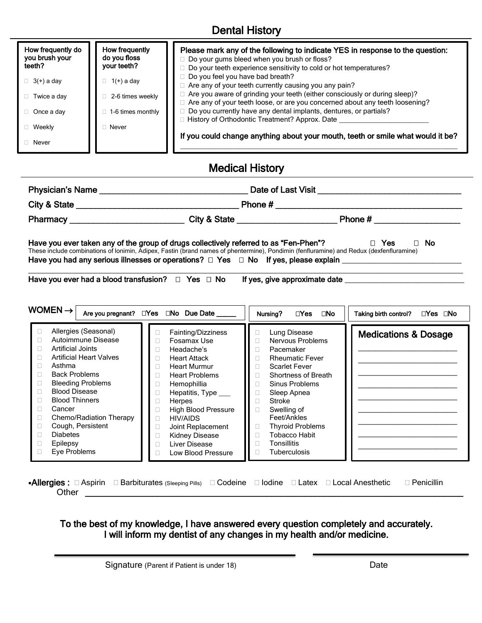# Dental History

| How frequently do<br>you brush your<br>teeth? | How frequently<br>do you floss<br>your teeth? | Please mark any of the following to indicate YES in response to the question:<br>Do your gums bleed when you brush or floss?<br>□ Do your teeth experience sensitivity to cold or hot temperatures? |
|-----------------------------------------------|-----------------------------------------------|-----------------------------------------------------------------------------------------------------------------------------------------------------------------------------------------------------|
| $\Box$ 3(+) a day                             | $1(+)$ a day                                  | $\Box$ Do you feel you have bad breath?<br>□ Are any of your teeth currently causing you any pain?                                                                                                  |
| Twice a day                                   | 2-6 times weekly                              | □ Are you aware of grinding your teeth (either consciously or during sleep)?<br>□ Are any of your teeth loose, or are you concerned about any teeth loosening?                                      |
| $\Box$ Once a day                             | 1-6 times monthly                             | □ Do you currently have any dental implants, dentures, or partials?<br>History of Orthodontic Treatment? Approx. Date                                                                               |
| $\Box$ Weekly                                 | Never                                         |                                                                                                                                                                                                     |
| $\Box$ Never                                  |                                               | If you could change anything about your mouth, teeth or smile what would it be?                                                                                                                     |

## Medical History

| Physician's Name | Date of Last Visit ___________                                                                                                                                                                                                                                                                                                    |                    |  |
|------------------|-----------------------------------------------------------------------------------------------------------------------------------------------------------------------------------------------------------------------------------------------------------------------------------------------------------------------------------|--------------------|--|
|                  | Phone # $\frac{1}{2}$ $\frac{1}{2}$ $\frac{1}{2}$ $\frac{1}{2}$ $\frac{1}{2}$ $\frac{1}{2}$ $\frac{1}{2}$ $\frac{1}{2}$ $\frac{1}{2}$ $\frac{1}{2}$ $\frac{1}{2}$ $\frac{1}{2}$ $\frac{1}{2}$ $\frac{1}{2}$ $\frac{1}{2}$ $\frac{1}{2}$ $\frac{1}{2}$ $\frac{1}{2}$ $\frac{1}{2}$ $\frac{1}{2}$ $\frac{1}{2}$ $\frac$             |                    |  |
|                  | City & State _________________                                                                                                                                                                                                                                                                                                    | Phone #            |  |
|                  | Have you ever taken any of the group of drugs collectively referred to as "Fen-Phen"?<br>These include combinations of Ionimin, Adipex, Fastin (brand names of phentermine), Pondimin (fenfluramine) and Redux (dexfenfluramine)<br>Have you had any serious illnesses or operations? $\Box$ Yes $\Box$ No If yes, please explain | $\Box$ No<br>□ Yes |  |

 $\_$  , and the set of the set of the set of the set of the set of the set of the set of the set of the set of the set of the set of the set of the set of the set of the set of the set of the set of the set of the set of th Have you ever had a blood transfusion? Yes No If yes, give approximate date \_\_\_\_\_\_\_\_\_\_\_\_\_\_\_\_\_\_\_\_\_\_\_\_\_

| WOMEN $\rightarrow$                                                                                                                                                                                                                                                                                                                                                                         | Are you pregnant? □Yes □No Due Date                                                                                                                                                                                                                                                                           | $\Box$ Yes<br>$\square$ No<br>Nursing?                                                                                                                                                                                                                                                                                           | ⊡Yes ⊡No<br>Taking birth control? |
|---------------------------------------------------------------------------------------------------------------------------------------------------------------------------------------------------------------------------------------------------------------------------------------------------------------------------------------------------------------------------------------------|---------------------------------------------------------------------------------------------------------------------------------------------------------------------------------------------------------------------------------------------------------------------------------------------------------------|----------------------------------------------------------------------------------------------------------------------------------------------------------------------------------------------------------------------------------------------------------------------------------------------------------------------------------|-----------------------------------|
| Allergies (Seasonal)<br>□<br>Autoimmune Disease<br>Ш<br>Artificial Joints<br>П.<br><b>Artificial Heart Valves</b><br>п<br>Asthma<br>п<br><b>Back Problems</b><br>п<br><b>Bleeding Problems</b><br>□<br><b>Blood Disease</b><br>п<br><b>Blood Thinners</b><br>п<br>Cancer<br>П<br>Chemo/Radiation Therapy<br>П<br>Cough, Persistent<br>Ш<br><b>Diabetes</b><br>П<br>Epilepsy<br>Eye Problems | Fainting/Dizziness<br>Fosamax Use<br>Headache's<br><b>Heart Attack</b><br>П<br><b>Heart Murmur</b><br><b>Heart Problems</b><br>Hemophillia<br>Hepatitis, Type<br><b>Herpes</b><br><b>High Blood Pressure</b><br><b>HIV/AIDS</b><br>Joint Replacement<br>Kidney Disease<br>Liver Disease<br>Low Blood Pressure | Lung Disease<br>П<br>Nervous Problems<br>c<br>Pacemaker<br><b>Rheumatic Fever</b><br>П<br><b>Scarlet Fever</b><br><b>Shortness of Breath</b><br>Sinus Problems<br>Sleep Apnea<br>Stroke<br>П<br>Swelling of<br>Feet/Ankles<br><b>Thyroid Problems</b><br>Г<br>Tobacco Habit<br>П<br><b>Tonsillitis</b><br>□<br>Tuberculosis<br>□ | <b>Medications &amp; Dosage</b>   |

•Allergies: **DAspirin DBarbiturates (Sleeping Pills)** DCodeine DIodine DLatex DLocal Anesthetic DPenicillin Other \_\_\_\_\_\_\_\_\_\_\_\_\_\_\_\_\_\_\_\_\_\_\_\_\_\_\_\_\_\_\_\_\_\_\_\_\_\_\_\_\_\_\_\_\_\_\_\_\_\_\_\_\_\_\_\_\_\_\_\_\_\_\_\_\_\_\_\_\_\_\_\_\_\_\_\_\_\_\_ \_\_\_\_\_\_\_\_\_\_\_\_\_\_\_\_\_\_\_

To the best of my knowledge, I have answered every question completely and accurately. I will inform my dentist of any changes in my health and/or medicine.

Signature (Parent if Patient is under 18) Date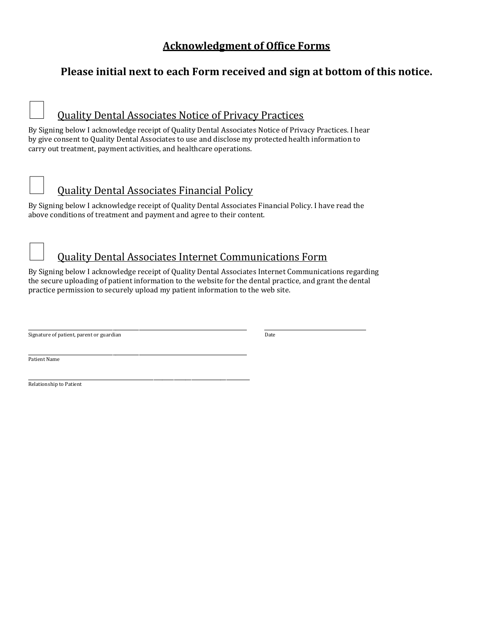### **Acknowledgment of Office Forms**

### **Please initial next to each Form received and sign at bottom of this notice.**

## Quality Dental Associates Notice of Privacy Practices

By Signing below I acknowledge receipt of Quality Dental Associates Notice of Privacy Practices. I hear by give consent to Quality Dental Associates to use and disclose my protected health information to carry out treatment, payment activities, and healthcare operations.



### Quality Dental Associates Financial Policy

\_\_\_\_\_\_\_\_\_\_\_\_\_\_\_\_\_\_\_\_\_\_\_\_\_\_\_\_\_\_\_\_\_\_\_\_\_\_\_\_\_\_\_\_\_\_\_\_\_\_\_\_\_\_\_\_\_\_\_\_\_\_\_\_\_\_\_\_\_\_\_\_\_\_\_\_

By Signing below I acknowledge receipt of Quality Dental Associates Financial Policy. I have read the above conditions of treatment and payment and agree to their content.



By Signing below I acknowledge receipt of Quality Dental Associates Internet Communications regarding the secure uploading of patient information to the website for the dental practice, and grant the dental practice permission to securely upload my patient information to the web site.

\_\_\_\_\_\_\_\_\_\_\_\_\_\_\_\_\_\_\_\_\_\_\_\_\_\_\_\_\_\_\_\_\_\_\_\_\_\_\_\_\_\_\_\_\_\_\_\_\_\_\_\_\_\_\_\_\_\_\_\_\_\_\_\_\_\_\_\_\_\_\_\_\_\_\_ \_\_\_\_\_\_\_\_\_\_\_\_\_\_\_\_\_\_\_\_\_\_\_\_\_\_\_\_\_\_\_\_\_\_\_ Signature of patient, parent or guardian Date of the Signature of patient, parent or guardian Date

\_\_\_\_\_\_\_\_\_\_\_\_\_\_\_\_\_\_\_\_\_\_\_\_\_\_\_\_\_\_\_\_\_\_\_\_\_\_\_\_\_\_\_\_\_\_\_\_\_\_\_\_\_\_\_\_\_\_\_\_\_\_\_\_\_\_\_\_\_\_\_\_\_\_\_ Patient Name

Relationship to Patient